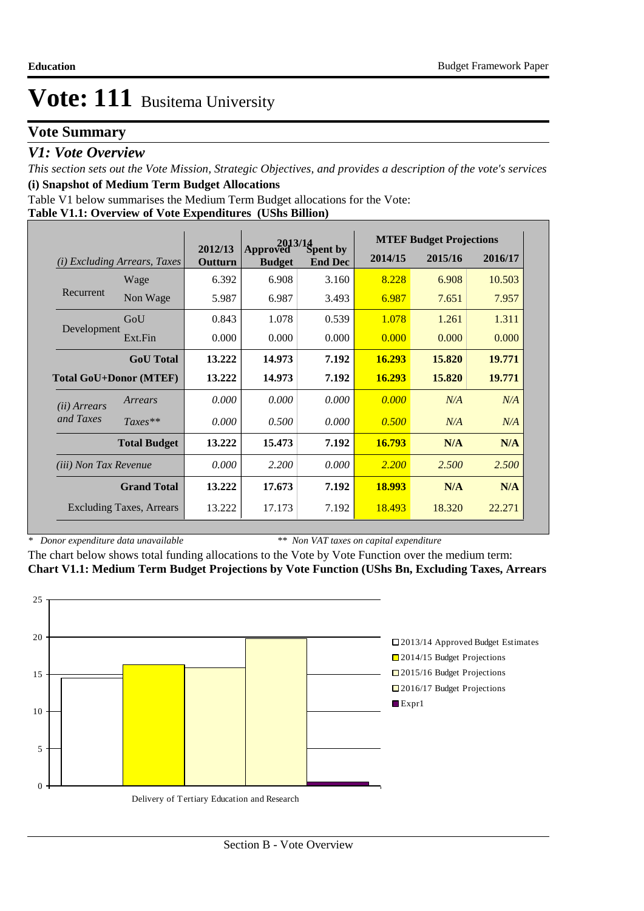# **Vote Summary**

## *V1: Vote Overview*

*This section sets out the Vote Mission, Strategic Objectives, and provides a description of the vote's services* **(i) Snapshot of Medium Term Budget Allocations** 

Table V1 below summarises the Medium Term Budget allocations for the Vote:

### **Table V1.1: Overview of Vote Expenditures (UShs Billion)**

|                              |                                 |                    |                           | $2013/14$<br>ved Spent by | <b>MTEF Budget Projections</b> |         |         |  |
|------------------------------|---------------------------------|--------------------|---------------------------|---------------------------|--------------------------------|---------|---------|--|
| (i)                          | <b>Excluding Arrears, Taxes</b> | 2012/13<br>Outturn | Approved<br><b>Budget</b> | <b>End Dec</b>            | 2014/15                        | 2015/16 | 2016/17 |  |
|                              | Wage                            | 6.392              | 6.908                     | 3.160                     | 8.228                          | 6.908   | 10.503  |  |
| Recurrent                    | Non Wage                        | 5.987              | 6.987                     | 3.493                     | 6.987                          | 7.651   | 7.957   |  |
|                              | GoU                             | 0.843              | 1.078                     | 0.539                     | 1.078                          | 1.261   | 1.311   |  |
| Development                  | Ext.Fin                         | 0.000              | 0.000                     | 0.000                     | 0.000                          | 0.000   | 0.000   |  |
|                              | <b>GoU</b> Total                | 13.222             | 14.973                    | 7.192                     | 16.293                         | 15.820  | 19.771  |  |
|                              | <b>Total GoU+Donor (MTEF)</b>   | 13.222             | 14.973                    | 7.192                     | 16.293                         | 15.820  | 19.771  |  |
| ( <i>ii</i> ) Arrears        | Arrears                         | 0.000              | 0.000                     | 0.000                     | 0.000                          | N/A     | N/A     |  |
| and Taxes                    | $Taxes**$                       | 0.000              | 0.500                     | 0.000                     | 0.500                          | N/A     | N/A     |  |
|                              | <b>Total Budget</b>             | 13.222             | 15.473                    | 7.192                     | 16.793                         | N/A     | N/A     |  |
| <i>(iii)</i> Non Tax Revenue |                                 | 0.000              | 2.200                     | 0.000                     | 2.200                          | 2.500   | 2.500   |  |
|                              | <b>Grand Total</b>              | 13.222             | 17.673                    | 7.192                     | 18.993                         | N/A     | N/A     |  |
|                              | <b>Excluding Taxes, Arrears</b> | 13.222             | 17.173                    | 7.192                     | 18.493                         | 18.320  | 22.271  |  |

*\* Donor expenditure data unavailable*

*\*\* Non VAT taxes on capital expenditure*

The chart below shows total funding allocations to the Vote by Vote Function over the medium term: **Chart V1.1: Medium Term Budget Projections by Vote Function (UShs Bn, Excluding Taxes, Arrears**

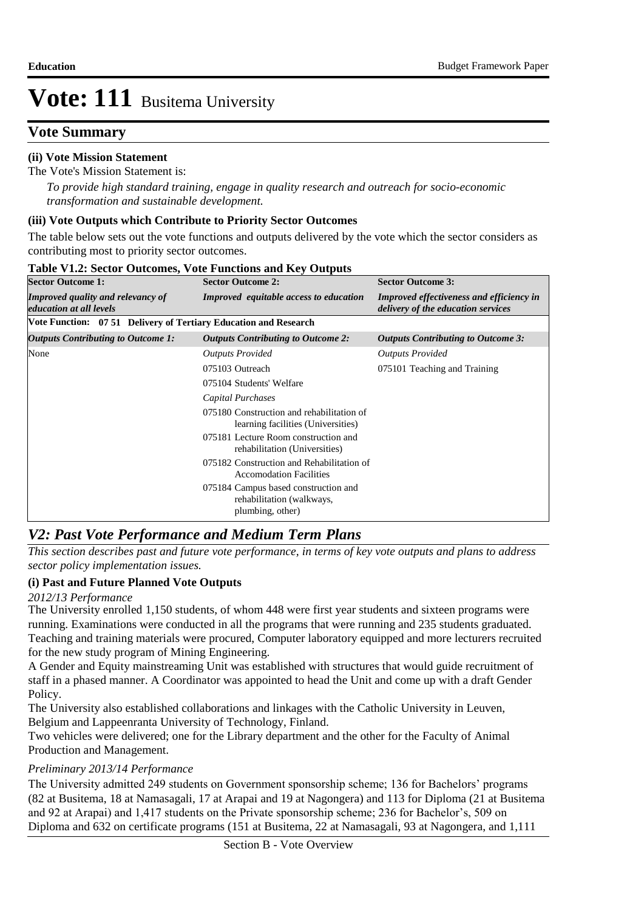# **Vote Summary**

## **(ii) Vote Mission Statement**

The Vote's Mission Statement is:

*To provide high standard training, engage in quality research and outreach for socio-economic transformation and sustainable development.*

## **(iii) Vote Outputs which Contribute to Priority Sector Outcomes**

The table below sets out the vote functions and outputs delivered by the vote which the sector considers as contributing most to priority sector outcomes.

| <b>Sector Outcome 1:</b>                                         | <b>Sector Outcome 2:</b>                                                              | <b>Sector Outcome 3:</b>                                                              |
|------------------------------------------------------------------|---------------------------------------------------------------------------------------|---------------------------------------------------------------------------------------|
| Improved quality and relevancy of<br>education at all levels     | <b>Improved</b> equitable access to education                                         | <b>Improved effectiveness and efficiency in</b><br>delivery of the education services |
| Vote Function: 07 51 Delivery of Tertiary Education and Research |                                                                                       |                                                                                       |
| <i><b>Outputs Contributing to Outcome 1:</b></i>                 | <b>Outputs Contributing to Outcome 2:</b>                                             | <b>Outputs Contributing to Outcome 3:</b>                                             |
| None                                                             | <b>Outputs Provided</b>                                                               | <b>Outputs Provided</b>                                                               |
|                                                                  | 075103 Outreach                                                                       | 075101 Teaching and Training                                                          |
|                                                                  | 075104 Students' Welfare                                                              |                                                                                       |
|                                                                  | Capital Purchases                                                                     |                                                                                       |
|                                                                  | 075180 Construction and rehabilitation of<br>learning facilities (Universities)       |                                                                                       |
|                                                                  | 075181 Lecture Room construction and<br>rehabilitation (Universities)                 |                                                                                       |
|                                                                  | 075182 Construction and Rehabilitation of<br><b>Accomodation Facilities</b>           |                                                                                       |
|                                                                  | 075184 Campus based construction and<br>rehabilitation (walkways,<br>plumbing, other) |                                                                                       |

#### **Table V1.2: Sector Outcomes, Vote Functions and Key Outputs**

# *V2: Past Vote Performance and Medium Term Plans*

*This section describes past and future vote performance, in terms of key vote outputs and plans to address sector policy implementation issues.* 

## **(i) Past and Future Planned Vote Outputs**

### *2012/13 Performance*

The University enrolled 1,150 students, of whom 448 were first year students and sixteen programs were running. Examinations were conducted in all the programs that were running and 235 students graduated. Teaching and training materials were procured, Computer laboratory equipped and more lecturers recruited for the new study program of Mining Engineering.

A Gender and Equity mainstreaming Unit was established with structures that would guide recruitment of staff in a phased manner. A Coordinator was appointed to head the Unit and come up with a draft Gender Policy.

The University also established collaborations and linkages with the Catholic University in Leuven, Belgium and Lappeenranta University of Technology, Finland.

Two vehicles were delivered; one for the Library department and the other for the Faculty of Animal Production and Management.

## *Preliminary 2013/14 Performance*

The University admitted 249 students on Government sponsorship scheme; 136 for Bachelors' programs (82 at Busitema, 18 at Namasagali, 17 at Arapai and 19 at Nagongera) and 113 for Diploma (21 at Busitema and 92 at Arapai) and 1,417 students on the Private sponsorship scheme; 236 for Bachelor's, 509 on Diploma and 632 on certificate programs (151 at Busitema, 22 at Namasagali, 93 at Nagongera, and 1,111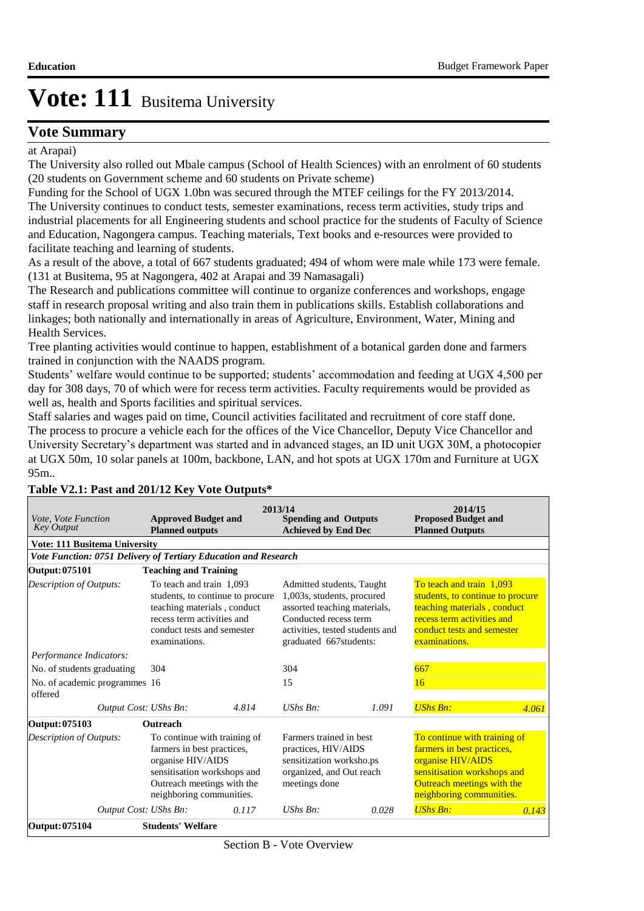## **Vote Summary**

at Arapai)

The University also rolled out Mbale campus (School of Health Sciences) with an enrolment of 60 students (20 students on Government scheme and 60 students on Private scheme)

Funding for the School of UGX 1.0bn was secured through the MTEF ceilings for the FY 2013/2014. The University continues to conduct tests, semester examinations, recess term activities, study trips and industrial placements for all Engineering students and school practice for the students of Faculty of Science and Education, Nagongera campus. Teaching materials, Text books and e-resources were provided to facilitate teaching and learning of students.

As a result of the above, a total of 667 students graduated; 494 of whom were male while 173 were female. (131 at Busitema, 95 at Nagongera, 402 at Arapai and 39 Namasagali)

The Research and publications committee will continue to organize conferences and workshops, engage staff in research proposal writing and also train them in publications skills. Establish collaborations and linkages; both nationally and internationally in areas of Agriculture, Environment, Water, Mining and Health Services.

Tree planting activities would continue to happen, establishment of a botanical garden done and farmers trained in conjunction with the NAADS program.

Students' welfare would continue to be supported; students' accommodation and feeding at UGX 4,500 per day for 308 days, 70 of which were for recess term activities. Faculty requirements would be provided as well as, health and Sports facilities and spiritual services.

Staff salaries and wages paid on time, Council activities facilitated and recruitment of core staff done. The process to procure a vehicle each for the offices of the Vice Chancellor, Deputy Vice Chancellor and University Secretary's department was started and in advanced stages, an ID unit UGX 30M, a photocopier at UGX 50m, 10 solar panels at 100m, backbone, LAN, and hot spots at UGX 170m and Furniture at UGX 95m..

| Vote, Vote Function<br><b>Key Output</b>                        | <b>Approved Budget and</b><br><b>Planned outputs</b>                                                                                                                     |                                  | 2013/14<br><b>Spending and Outputs</b><br><b>Achieved by End Dec</b>                                                                       |                                 | 2014/15<br><b>Proposed Budget and</b><br><b>Planned Outputs</b>                                                                                                          |       |
|-----------------------------------------------------------------|--------------------------------------------------------------------------------------------------------------------------------------------------------------------------|----------------------------------|--------------------------------------------------------------------------------------------------------------------------------------------|---------------------------------|--------------------------------------------------------------------------------------------------------------------------------------------------------------------------|-------|
| <b>Vote: 111 Busitema University</b>                            |                                                                                                                                                                          |                                  |                                                                                                                                            |                                 |                                                                                                                                                                          |       |
| Vote Function: 0751 Delivery of Tertiary Education and Research |                                                                                                                                                                          |                                  |                                                                                                                                            |                                 |                                                                                                                                                                          |       |
| Output: 075101                                                  | <b>Teaching and Training</b>                                                                                                                                             |                                  |                                                                                                                                            |                                 |                                                                                                                                                                          |       |
| Description of Outputs:                                         | To teach and train 1,093<br>teaching materials, conduct<br>recess term activities and<br>conduct tests and semester<br>examinations.                                     | students, to continue to procure | Admitted students, Taught<br>1,003s, students, procured<br>assorted teaching materials,<br>Conducted recess term<br>graduated 667students: | activities, tested students and | To teach and train 1,093<br>students, to continue to procure<br>teaching materials, conduct<br>recess term activities and<br>conduct tests and semester<br>examinations. |       |
| Performance Indicators:                                         |                                                                                                                                                                          |                                  |                                                                                                                                            |                                 |                                                                                                                                                                          |       |
| No. of students graduating                                      | 304                                                                                                                                                                      |                                  | 304                                                                                                                                        |                                 | 667                                                                                                                                                                      |       |
| No. of academic programmes 16<br>offered                        |                                                                                                                                                                          |                                  | 15                                                                                                                                         |                                 | 16                                                                                                                                                                       |       |
| Output Cost: UShs Bn:                                           |                                                                                                                                                                          | 4.814                            | $UShs$ $Bn$ :                                                                                                                              | 1.091                           | <b>UShs Bn:</b>                                                                                                                                                          | 4.061 |
| Output: 075103                                                  | <b>Outreach</b>                                                                                                                                                          |                                  |                                                                                                                                            |                                 |                                                                                                                                                                          |       |
| <b>Description of Outputs:</b>                                  | To continue with training of<br>farmers in best practices,<br>organise HIV/AIDS<br>sensitisation workshops and<br>Outreach meetings with the<br>neighboring communities. |                                  | Farmers trained in best<br>practices, HIV/AIDS<br>sensitization worksho.ps<br>organized, and Out reach<br>meetings done                    |                                 | To continue with training of<br>farmers in best practices,<br>organise HIV/AIDS<br>sensitisation workshops and<br>Outreach meetings with the<br>neighboring communities. |       |
| Output Cost: UShs Bn:                                           |                                                                                                                                                                          | 0.117                            | $UShs Bn$ :                                                                                                                                | 0.028                           | <b>UShs Bn:</b>                                                                                                                                                          | 0.143 |
| Output: 075104                                                  | <b>Students' Welfare</b>                                                                                                                                                 |                                  |                                                                                                                                            |                                 |                                                                                                                                                                          |       |

## **Table V2.1: Past and 201/12 Key Vote Outputs\***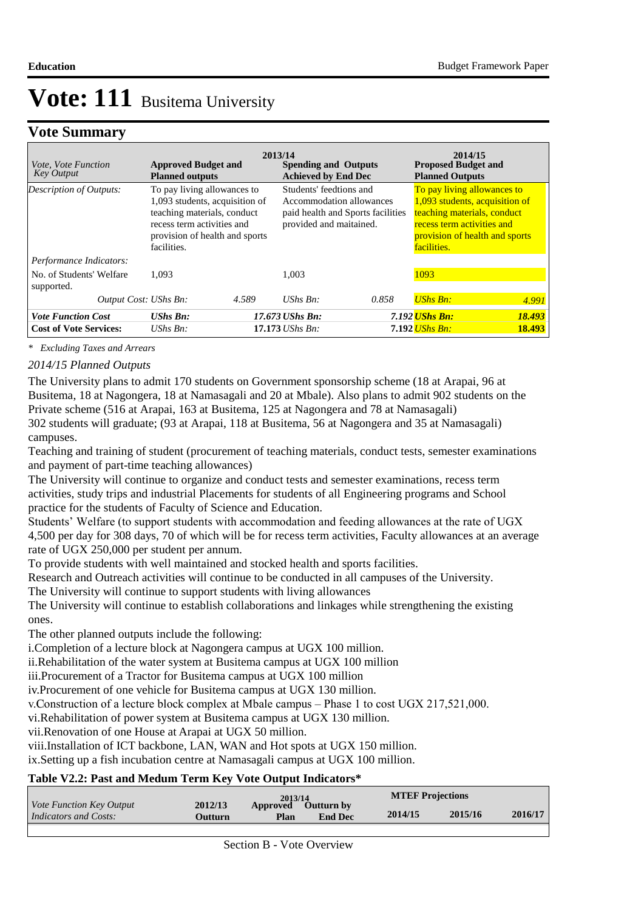## **Vote Summary**

| <i>Vote, Vote Function</i><br><b>Key Output</b> | <b>Approved Budget and</b><br><b>Planned outputs</b>                                                                                                                        |       | 2013/14<br><b>Spending and Outputs</b><br><b>Achieved by End Dec</b>                                                |       | 2014/15<br><b>Proposed Budget and</b><br><b>Planned Outputs</b>                                                                                                             |        |
|-------------------------------------------------|-----------------------------------------------------------------------------------------------------------------------------------------------------------------------------|-------|---------------------------------------------------------------------------------------------------------------------|-------|-----------------------------------------------------------------------------------------------------------------------------------------------------------------------------|--------|
| Description of Outputs:                         | To pay living allowances to<br>1,093 students, acquisition of<br>teaching materials, conduct<br>recess term activities and<br>provision of health and sports<br>facilities. |       | Students' feedtions and<br>Accommodation allowances<br>paid health and Sports facilities<br>provided and maitained. |       | To pay living allowances to<br>1,093 students, acquisition of<br>teaching materials, conduct<br>recess term activities and<br>provision of health and sports<br>facilities. |        |
| Performance Indicators:                         |                                                                                                                                                                             |       |                                                                                                                     |       |                                                                                                                                                                             |        |
| No. of Students' Welfare<br>supported.          | 1.093                                                                                                                                                                       |       | 1.003                                                                                                               |       | 1093                                                                                                                                                                        |        |
| Output Cost: UShs Bn:                           |                                                                                                                                                                             | 4.589 | UShs $Bn$ :                                                                                                         | 0.858 | $UShs Bn$ :                                                                                                                                                                 | 4.991  |
| <b>Vote Function Cost</b>                       | $UShs Bn$ :                                                                                                                                                                 |       | 17.673 UShs Bn:                                                                                                     |       | 7.192 <mark>UShs Bn:</mark>                                                                                                                                                 | 18.493 |
| <b>Cost of Vote Services:</b>                   | UShs $Bn$ :                                                                                                                                                                 |       | $17.173$ UShs Bn:                                                                                                   |       | 7.192 <mark>UShs Bn:</mark>                                                                                                                                                 | 18.493 |

*\* Excluding Taxes and Arrears*

## *2014/15 Planned Outputs*

The University plans to admit 170 students on Government sponsorship scheme (18 at Arapai, 96 at Busitema, 18 at Nagongera, 18 at Namasagali and 20 at Mbale). Also plans to admit 902 students on the Private scheme (516 at Arapai, 163 at Busitema, 125 at Nagongera and 78 at Namasagali) 302 students will graduate; (93 at Arapai, 118 at Busitema, 56 at Nagongera and 35 at Namasagali) campuses.

Teaching and training of student (procurement of teaching materials, conduct tests, semester examinations and payment of part-time teaching allowances)

The University will continue to organize and conduct tests and semester examinations, recess term activities, study trips and industrial Placements for students of all Engineering programs and School practice for the students of Faculty of Science and Education.

Students' Welfare (to support students with accommodation and feeding allowances at the rate of UGX 4,500 per day for 308 days, 70 of which will be for recess term activities, Faculty allowances at an average rate of UGX 250,000 per student per annum.

To provide students with well maintained and stocked health and sports facilities.

Research and Outreach activities will continue to be conducted in all campuses of the University.

The University will continue to support students with living allowances

The University will continue to establish collaborations and linkages while strengthening the existing ones.

The other planned outputs include the following:

i. Completion of a lecture block at Nagongera campus at UGX 100 million.

ii.Rehabilitation of the water system at Busitema campus at UGX 100 million

iii. Procurement of a Tractor for Busitema campus at UGX 100 million

iv. Procurement of one vehicle for Busitema campus at UGX 130 million.

v. Construction of a lecture block complex at Mbale campus – Phase 1 to cost UGX 217,521,000.

vi. Rehabilitation of power system at Busitema campus at UGX 130 million.

vii. Renovation of one House at Arapai at UGX 50 million.

viii.Installation of ICT backbone, LAN, WAN and Hot spots at UGX 150 million.

ix. Setting up a fish incubation centre at Namasagali campus at UGX 100 million.

### **Table V2.2: Past and Medum Term Key Vote Output Indicators\***

| <i>Vote Function Key Output</i> |          | 2013/14  |                   | <b>MTEF Projections</b> |         |         |
|---------------------------------|----------|----------|-------------------|-------------------------|---------|---------|
|                                 | 2012/13  | Approved | <b>Outturn by</b> |                         |         |         |
| Indicators and Costs:           | Outturn. | Plan     | <b>End Dec</b>    | 2014/15                 | 2015/16 | 2016/17 |
|                                 |          |          |                   |                         |         |         |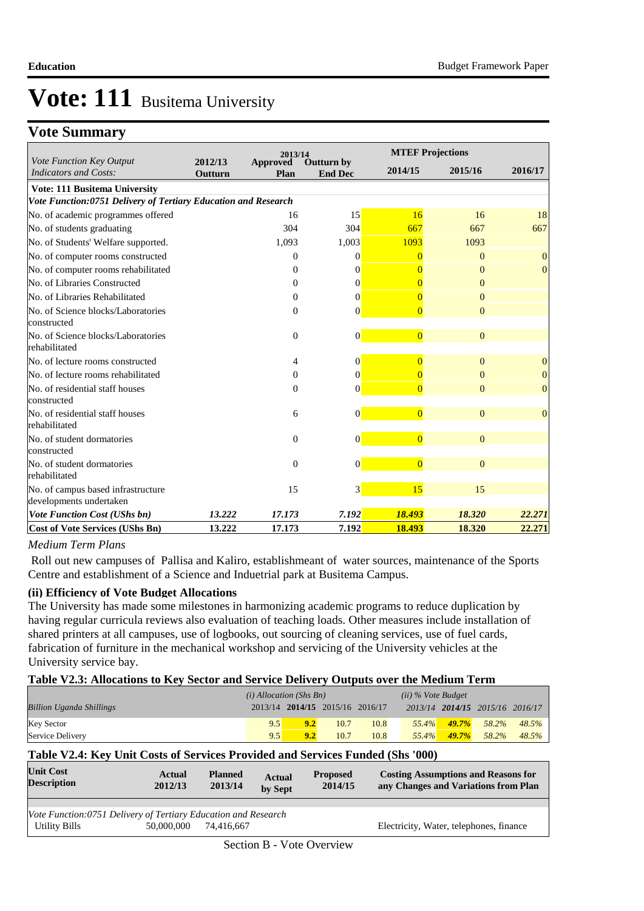# **Vote Summary**

|                                                                |                    | 2013/14          |                              |                | <b>MTEF Projections</b> |                  |  |
|----------------------------------------------------------------|--------------------|------------------|------------------------------|----------------|-------------------------|------------------|--|
| Vote Function Key Output<br><b>Indicators and Costs:</b>       | 2012/13<br>Outturn | Approved<br>Plan | Outturn by<br><b>End Dec</b> | 2014/15        | 2015/16                 | 2016/17          |  |
|                                                                |                    |                  |                              |                |                         |                  |  |
| <b>Vote: 111 Busitema University</b>                           |                    |                  |                              |                |                         |                  |  |
| Vote Function:0751 Delivery of Tertiary Education and Research |                    |                  |                              |                |                         |                  |  |
| No. of academic programmes offered                             |                    | 16               | 15                           | 16             | 16                      | 18               |  |
| No. of students graduating                                     |                    | 304              | 304                          | 667            | 667                     | 667              |  |
| No. of Students' Welfare supported.                            |                    | 1,093            | 1,003                        | 1093           | 1093                    |                  |  |
| No. of computer rooms constructed                              |                    | $\theta$         | 0                            | 0              | $\Omega$                | $\mathbf{0}$     |  |
| No. of computer rooms rehabilitated                            |                    | $\Omega$         | 0                            |                | $\Omega$                | $\mathbf{0}$     |  |
| No. of Libraries Constructed                                   |                    | 0                | 0                            |                | $\Omega$                |                  |  |
| No. of Libraries Rehabilitated                                 |                    | $\mathbf{0}$     | $\theta$                     |                | $\Omega$                |                  |  |
| No. of Science blocks/Laboratories                             |                    | $\Omega$         | $\theta$                     | $\Omega$       | $\Omega$                |                  |  |
| constructed                                                    |                    |                  |                              |                |                         |                  |  |
| No. of Science blocks/Laboratories<br>rehabilitated            |                    | $\theta$         | $\overline{0}$               | $\overline{0}$ | $\Omega$                |                  |  |
| No. of lecture rooms constructed                               |                    | 4                | 0                            | $\overline{0}$ | $\mathbf{0}$            | $\mathbf{0}$     |  |
| No. of lecture rooms rehabilitated                             |                    | $\mathbf{0}$     | $\Omega$                     |                | $\Omega$                | $\boldsymbol{0}$ |  |
| No. of residential staff houses                                |                    | $\mathbf{0}$     | $\Omega$                     | $\Omega$       | $\Omega$                | $\overline{0}$   |  |
| constructed                                                    |                    |                  |                              |                |                         |                  |  |
| No. of residential staff houses<br>rehabilitated               |                    | 6                | $\overline{0}$               | $\overline{0}$ | $\mathbf{0}$            | $\overline{0}$   |  |
| No. of student dormatories                                     |                    | $\theta$         | $\theta$                     | $\overline{0}$ | $\Omega$                |                  |  |
| constructed                                                    |                    |                  |                              |                |                         |                  |  |
| No. of student dormatories                                     |                    | $\mathbf{0}$     | $\overline{0}$               | $\overline{0}$ | $\mathbf{0}$            |                  |  |
| rehabilitated                                                  |                    |                  |                              |                |                         |                  |  |
| No. of campus based infrastructure                             |                    | 15               | 3                            | 15             | 15                      |                  |  |
| developments undertaken                                        |                    |                  |                              |                |                         |                  |  |
| <b>Vote Function Cost (UShs bn)</b>                            | 13.222             | 17.173           | 7.192                        | 18.493         | 18.320                  | 22.271           |  |
| <b>Cost of Vote Services (UShs Bn)</b>                         | 13.222             | 17.173           | 7.192                        | 18.493         | 18.320                  | 22.271           |  |

### *Medium Term Plans*

 Roll out new campuses of Pallisa and Kaliro, establishmeant of water sources, maintenance of the Sports Centre and establishment of a Science and Induetrial park at Busitema Campus.

### **(ii) Efficiency of Vote Budget Allocations**

The University has made some milestones in harmonizing academic programs to reduce duplication by having regular curricula reviews also evaluation of teaching loads. Other measures include installation of shared printers at all campuses, use of logbooks, out sourcing of cleaning services, use of fuel cards, fabrication of furniture in the mechanical workshop and servicing of the University vehicles at the University service bay.

### **Table V2.3: Allocations to Key Sector and Service Delivery Outputs over the Medium Term**

|                                 | $(i)$ Allocation (Shs Bn) |                                 |      |      | $(ii)$ % Vote Budget |           |                                 |       |
|---------------------------------|---------------------------|---------------------------------|------|------|----------------------|-----------|---------------------------------|-------|
| <b>Billion Uganda Shillings</b> |                           | 2013/14 2014/15 2015/16 2016/17 |      |      |                      |           | 2013/14 2014/15 2015/16 2016/17 |       |
| <b>Key Sector</b>               | 9.5                       | 9.2                             | 10.7 | 10.8 | $55.4\%$             | $49.7\%$  | 58.2%                           | 48.5% |
| Service Delivery                | 9.5                       | 9.2                             | 10.7 | 10.8 | $55.4\%$             | $-49.7\%$ | 58.2%                           | 48.5% |

### **Table V2.4: Key Unit Costs of Services Provided and Services Funded (Shs '000)**

| Actual<br>2012/13 | <b>Planned</b><br>2013/14 | <b>Actual</b><br>by Sept | <b>Proposed</b><br>2014/15                                     | <b>Costing Assumptions and Reasons for</b><br>any Changes and Variations from Plan |
|-------------------|---------------------------|--------------------------|----------------------------------------------------------------|------------------------------------------------------------------------------------|
|                   |                           |                          |                                                                |                                                                                    |
|                   |                           |                          |                                                                |                                                                                    |
| 50,000,000        | 74.416.667                |                          |                                                                | Electricity, Water, telephones, finance                                            |
|                   |                           |                          |                                                                |                                                                                    |
|                   |                           |                          | Vote Function:0751 Delivery of Tertiary Education and Research | Section B - Vote Overview                                                          |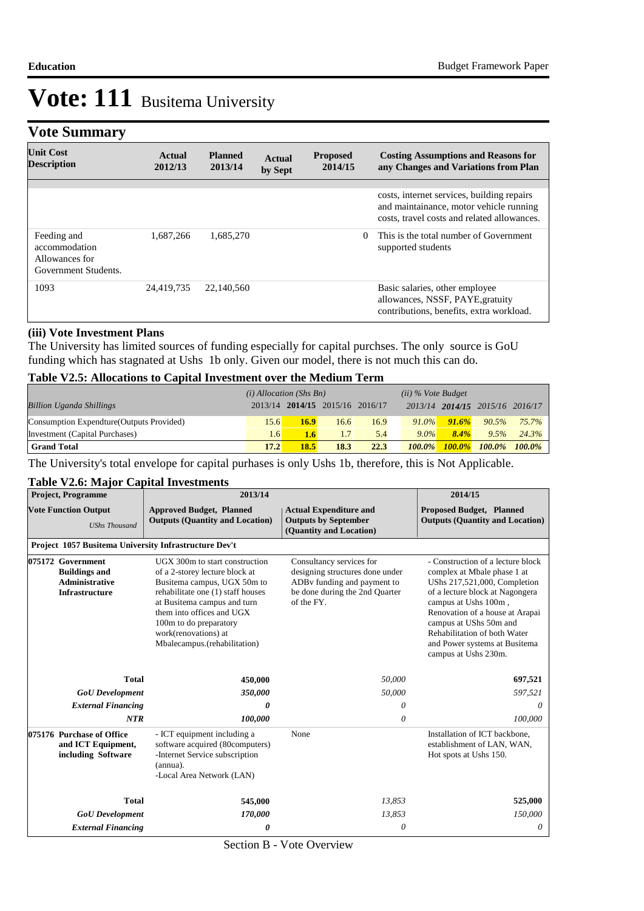# **Vote Summary**

| <b>Unit Cost</b><br><b>Description</b>                                 | Actual<br>2012/13 | <b>Planned</b><br>2013/14 | Actual<br>by Sept | <b>Proposed</b><br>2014/15 | <b>Costing Assumptions and Reasons for</b><br>any Changes and Variations from Plan                                                   |
|------------------------------------------------------------------------|-------------------|---------------------------|-------------------|----------------------------|--------------------------------------------------------------------------------------------------------------------------------------|
|                                                                        |                   |                           |                   |                            |                                                                                                                                      |
|                                                                        |                   |                           |                   |                            | costs, internet services, building repairs<br>and maintainance, motor vehicle running<br>costs, travel costs and related allowances. |
| Feeding and<br>accommodation<br>Allowances for<br>Government Students. | 1.687.266         | 1.685.270                 |                   | $\Omega$                   | This is the total number of Government<br>supported students                                                                         |
| 1093                                                                   | 24,419,735        | 22,140,560                |                   |                            | Basic salaries, other employee<br>allowances, NSSF, PAYE, gratuity<br>contributions, benefits, extra workload.                       |

#### **(iii) Vote Investment Plans**

The University has limited sources of funding especially for capital purchses. The only source is GoU funding which has stagnated at Ushs 1b only. Given our model, there is not much this can do.

#### **Table V2.5: Allocations to Capital Investment over the Medium Term**

|                                           | $(i)$ Allocation (Shs Bn) |      |                                 |      | $(ii)$ % Vote Budget |       |                                 |          |
|-------------------------------------------|---------------------------|------|---------------------------------|------|----------------------|-------|---------------------------------|----------|
| <b>Billion Uganda Shillings</b>           |                           |      | 2013/14 2014/15 2015/16 2016/17 |      |                      |       | 2013/14 2014/15 2015/16 2016/17 |          |
| Consumption Expendture (Outputs Provided) | 15.6                      | 16.9 | 16.6                            | 16.9 | $91.0\%$             | 91.6% | 90.5%                           | $75.7\%$ |
| Investment (Capital Purchases)            | 1.6                       | 1.6  |                                 | 5.4  | $9.0\%$              | 8.4%  | 9.5%                            | 24.3%    |
| <b>Grand Total</b>                        | 17.2                      | 18.5 | 18.3                            | 22.3 | $100.0\%$            |       | $100.0\%$ $100.0\%$ $100.0\%$   |          |

The University's total envelope for capital purhases is only Ushs 1b, therefore, this is Not Applicable.

#### **Table V2.6: Major Capital Investments**

| <b>Project, Programme</b>                                                                   | 2013/14                                                                                                                                                                                                                                                                            |                                                                                                                                            |                                                                                                                                                                                                                                                                                                                   |  |
|---------------------------------------------------------------------------------------------|------------------------------------------------------------------------------------------------------------------------------------------------------------------------------------------------------------------------------------------------------------------------------------|--------------------------------------------------------------------------------------------------------------------------------------------|-------------------------------------------------------------------------------------------------------------------------------------------------------------------------------------------------------------------------------------------------------------------------------------------------------------------|--|
| <b>Vote Function Output</b><br><b>UShs Thousand</b>                                         | <b>Approved Budget, Planned</b><br><b>Outputs (Quantity and Location)</b>                                                                                                                                                                                                          | <b>Actual Expenditure and</b><br><b>Outputs by September</b><br>(Quantity and Location)                                                    | <b>Proposed Budget, Planned</b><br><b>Outputs (Quantity and Location)</b>                                                                                                                                                                                                                                         |  |
| Project 1057 Busitema University Infrastructure Dev't                                       |                                                                                                                                                                                                                                                                                    |                                                                                                                                            |                                                                                                                                                                                                                                                                                                                   |  |
| 075172 Government<br><b>Buildings and</b><br><b>Administrative</b><br><b>Infrastructure</b> | UGX 300m to start construction<br>of a 2-storey lecture block at<br>Busitema campus, UGX 50m to<br>rehabilitate one (1) staff houses<br>at Busitema campus and turn<br>them into offices and UGX<br>100m to do preparatory<br>work(renovations) at<br>Mbalecampus.(rehabilitation) | Consultancy services for<br>designing structures done under<br>ADBy funding and payment to<br>be done during the 2nd Quarter<br>of the FY. | - Construction of a lecture block<br>complex at Mbale phase 1 at<br>UShs 217,521,000, Completion<br>of a lecture block at Nagongera<br>campus at Ushs 100m,<br>Renovation of a house at Arapai<br>campus at UShs 50m and<br>Rehabilitation of both Water<br>and Power systems at Busitema<br>campus at Ushs 230m. |  |
| <b>Total</b>                                                                                | 450,000                                                                                                                                                                                                                                                                            | 50,000                                                                                                                                     | 697,521                                                                                                                                                                                                                                                                                                           |  |
| <b>GoU</b> Development                                                                      | 350,000                                                                                                                                                                                                                                                                            | 50,000                                                                                                                                     | 597,521                                                                                                                                                                                                                                                                                                           |  |
| <b>External Financing</b>                                                                   | 0                                                                                                                                                                                                                                                                                  | 0                                                                                                                                          | $\theta$                                                                                                                                                                                                                                                                                                          |  |
| <b>NTR</b>                                                                                  | 100,000                                                                                                                                                                                                                                                                            | $\theta$                                                                                                                                   | 100,000                                                                                                                                                                                                                                                                                                           |  |
| 075176 Purchase of Office<br>and ICT Equipment,<br>including Software                       | - ICT equipment including a<br>software acquired (80computers)<br>-Internet Service subscription<br>$(annua)$ .<br>-Local Area Network (LAN)                                                                                                                                       | None                                                                                                                                       | Installation of ICT backbone,<br>establishment of LAN, WAN,<br>Hot spots at Ushs 150.                                                                                                                                                                                                                             |  |
| <b>Total</b>                                                                                | 545,000                                                                                                                                                                                                                                                                            | 13,853                                                                                                                                     | 525,000                                                                                                                                                                                                                                                                                                           |  |
| <b>GoU</b> Development                                                                      | 170,000                                                                                                                                                                                                                                                                            | 13,853                                                                                                                                     | 150,000                                                                                                                                                                                                                                                                                                           |  |
| <b>External Financing</b>                                                                   | 0                                                                                                                                                                                                                                                                                  | 0                                                                                                                                          | 0                                                                                                                                                                                                                                                                                                                 |  |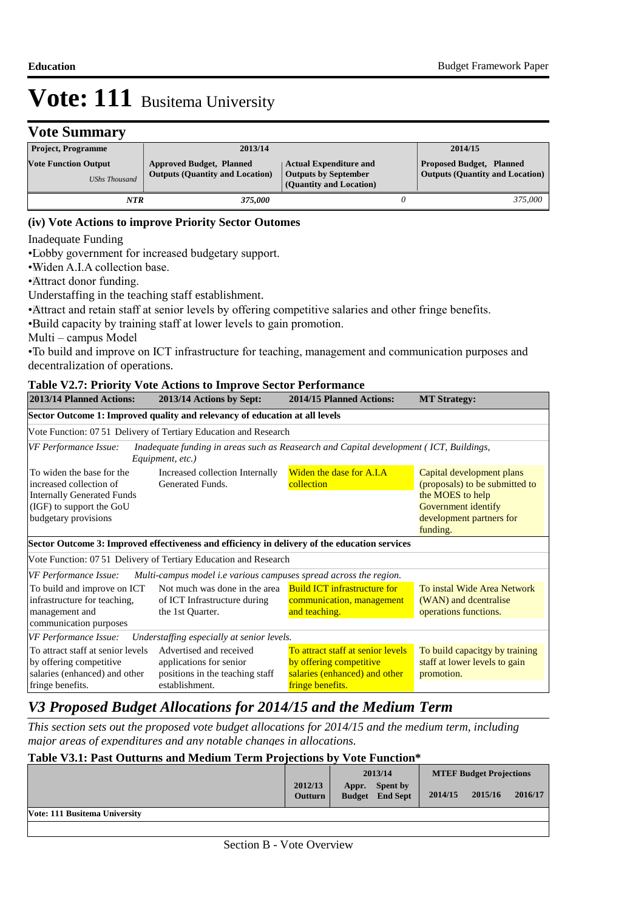# **Vote Summary**

| <b>Project, Programme</b>                           | 2013/14                                                                   |                                                                                         | 2014/15                                                                   |
|-----------------------------------------------------|---------------------------------------------------------------------------|-----------------------------------------------------------------------------------------|---------------------------------------------------------------------------|
| <b>Vote Function Output</b><br><b>UShs Thousand</b> | <b>Approved Budget, Planned</b><br><b>Outputs (Quantity and Location)</b> | <b>Actual Expenditure and</b><br><b>Outputs by September</b><br>(Quantity and Location) | <b>Proposed Budget, Planned</b><br><b>Outputs (Quantity and Location)</b> |
| NTR                                                 | 375.000                                                                   |                                                                                         | 375,000                                                                   |

## **(iv) Vote Actions to improve Priority Sector Outomes**

Inadequate Funding

• Lobby government for increased budgetary support.

• Widen A.I.A collection base.

• Attract donor funding.

Understaffing in the teaching staff establishment.

• Attract and retain staff at senior levels by offering competitive salaries and other fringe benefits.

• Build capacity by training staff at lower levels to gain promotion.

Multi – campus Model

• To build and improve on ICT infrastructure for teaching, management and communication purposes and decentralization of operations.

#### **Table V2.7: Priority Vote Actions to Improve Sector Performance**

| 2013/14 Planned Actions:                                                                                                                      | 2013/14 Actions by Sept:                                                                                   | 2014/15 Planned Actions:                                                                      | <b>MT Strategy:</b>                                                                                                                            |  |  |
|-----------------------------------------------------------------------------------------------------------------------------------------------|------------------------------------------------------------------------------------------------------------|-----------------------------------------------------------------------------------------------|------------------------------------------------------------------------------------------------------------------------------------------------|--|--|
|                                                                                                                                               | Sector Outcome 1: Improved quality and relevancy of education at all levels                                |                                                                                               |                                                                                                                                                |  |  |
|                                                                                                                                               | Vote Function: 07.51 Delivery of Tertiary Education and Research                                           |                                                                                               |                                                                                                                                                |  |  |
| VF Performance Issue:                                                                                                                         | Inadequate funding in areas such as Reasearch and Capital development (ICT, Buildings,<br>Equipment, etc.) |                                                                                               |                                                                                                                                                |  |  |
| To widen the base for the<br>increased collection of<br><b>Internally Generated Funds</b><br>(IGF) to support the GoU<br>budgetary provisions | Increased collection Internally<br>Generated Funds.                                                        | Widen the dase for A.I.A<br>collection                                                        | Capital development plans<br>(proposals) to be submitted to<br>the MOES to help<br>Government identify<br>development partners for<br>funding. |  |  |
|                                                                                                                                               | Sector Outcome 3: Improved effectiveness and efficiency in delivery of the education services              |                                                                                               |                                                                                                                                                |  |  |
|                                                                                                                                               | Vote Function: 07 51 Delivery of Tertiary Education and Research                                           |                                                                                               |                                                                                                                                                |  |  |
| <b>VF Performance Issue:</b>                                                                                                                  | Multi-campus model <i>i.e</i> various campuses spread across the region.                                   |                                                                                               |                                                                                                                                                |  |  |
| To build and improve on ICT<br>infrastructure for teaching,<br>management and                                                                 | Not much was done in the area<br>of ICT Infrastructure during<br>the 1st Quarter.                          | <b>Build ICT infrastructure for</b><br>communication, management<br>and teaching.             | To instal Wide Area Network<br>(WAN) and dcentralise<br>operations functions.                                                                  |  |  |
| communication purposes                                                                                                                        |                                                                                                            |                                                                                               |                                                                                                                                                |  |  |
| <b>VF Performance Issue:</b>                                                                                                                  | Understaffing especially at senior levels.                                                                 |                                                                                               |                                                                                                                                                |  |  |
| To attract staff at senior levels<br>by offering competitive<br>salaries (enhanced) and other                                                 | Advertised and received<br>applications for senior<br>positions in the teaching staff                      | To attract staff at senior levels<br>by offering competitive<br>salaries (enhanced) and other | To build capacitgy by training<br>staff at lower levels to gain<br>promotion.                                                                  |  |  |
| fringe benefits.                                                                                                                              | establishment.                                                                                             | fringe benefits.                                                                              |                                                                                                                                                |  |  |

# *V3 Proposed Budget Allocations for 2014/15 and the Medium Term*

*This section sets out the proposed vote budget allocations for 2014/15 and the medium term, including major areas of expenditures and any notable changes in allocations.* 

## **Table V3.1: Past Outturns and Medium Term Projections by Vote Function\***

|                               |                           | 2013/14 |                                           | <b>MTEF Budget Projections</b> |         |         |
|-------------------------------|---------------------------|---------|-------------------------------------------|--------------------------------|---------|---------|
|                               | 2012/13<br><b>Outturn</b> | Appr.   | <b>Spent by</b><br><b>Budget</b> End Sept | 2014/15                        | 2015/16 | 2016/17 |
| Vote: 111 Busitema University |                           |         |                                           |                                |         |         |
|                               |                           |         |                                           |                                |         |         |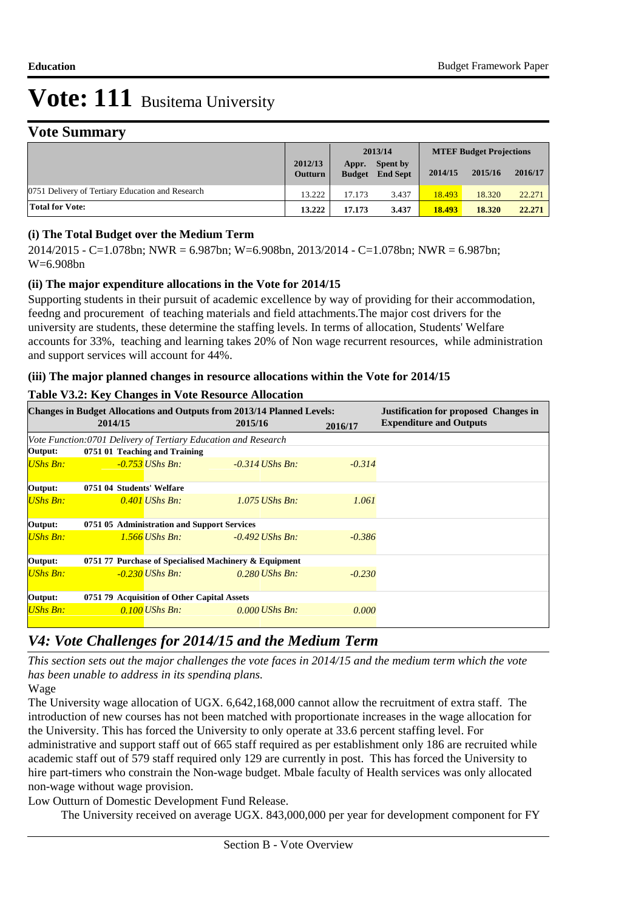## **Vote Summary**

|                                                  |                           | 2013/14                |                                    | <b>MTEF Budget Projections</b> |         |         |
|--------------------------------------------------|---------------------------|------------------------|------------------------------------|--------------------------------|---------|---------|
|                                                  | 2012/13<br><b>Outturn</b> | Appr.<br><b>Budget</b> | <b>Spent by</b><br><b>End Sept</b> | 2014/15                        | 2015/16 | 2016/17 |
| 0751 Delivery of Tertiary Education and Research | 13.222                    | 17.173                 | 3.437                              | 18.493                         | 18.320  | 22.271  |
| <b>Total for Vote:</b>                           | 13.222                    | 17.173                 | 3.437                              | 18.493                         | 18.320  | 22,271  |

## **(i) The Total Budget over the Medium Term**

2014/2015 - C=1.078bn; NWR = 6.987bn; W=6.908bn, 2013/2014 - C=1.078bn; NWR = 6.987bn; W=6.908bn

## **(ii) The major expenditure allocations in the Vote for 2014/15**

Supporting students in their pursuit of academic excellence by way of providing for their accommodation, feedng and procurement of teaching materials and field attachments.The major cost drivers for the university are students, these determine the staffing levels. In terms of allocation, Students' Welfare accounts for 33%, teaching and learning takes 20% of Non wage recurrent resources, while administration and support services will account for 44%.

## **(iii) The major planned changes in resource allocations within the Vote for 2014/15**

### **Table V3.2: Key Changes in Vote Resource Allocation**

|                 |                                                                |                                             | <b>Changes in Budget Allocations and Outputs from 2013/14 Planned Levels:</b> |          | <b>Justification for proposed Changes in</b> |  |  |  |  |
|-----------------|----------------------------------------------------------------|---------------------------------------------|-------------------------------------------------------------------------------|----------|----------------------------------------------|--|--|--|--|
|                 | 2014/15                                                        |                                             | 2015/16                                                                       | 2016/17  | <b>Expenditure and Outputs</b>               |  |  |  |  |
|                 | Vote Function:0701 Delivery of Tertiary Education and Research |                                             |                                                                               |          |                                              |  |  |  |  |
| Output:         |                                                                | 0751 01 Teaching and Training               |                                                                               |          |                                              |  |  |  |  |
| <b>UShs Bn:</b> |                                                                | $-0.753$ UShs Bn:                           | $-0.314$ UShs Bn:                                                             | $-0.314$ |                                              |  |  |  |  |
| Output:         | 0751 04 Students' Welfare                                      |                                             |                                                                               |          |                                              |  |  |  |  |
| <b>UShs Bn:</b> |                                                                | $0.401$ UShs Bn:                            | $1.075$ UShs Bn:                                                              | 1.061    |                                              |  |  |  |  |
| Output:         |                                                                | 0751 05 Administration and Support Services |                                                                               |          |                                              |  |  |  |  |
| <b>UShs Bn:</b> |                                                                | $1.566$ UShs Bn:                            | $-0.492$ UShs Bn:                                                             | $-0.386$ |                                              |  |  |  |  |
| Output:         | 0751 77 Purchase of Specialised Machinery & Equipment          |                                             |                                                                               |          |                                              |  |  |  |  |
| <b>UShs Bn:</b> |                                                                | -0.230 UShs Bn:                             | $0.280$ UShs Bn:                                                              | $-0.230$ |                                              |  |  |  |  |
| Output:         | 0751 79 Acquisition of Other Capital Assets                    |                                             |                                                                               |          |                                              |  |  |  |  |
| <b>UShs Bn:</b> |                                                                | 0.100 UShs Bn:                              | $0.000$ UShs Bn:                                                              | 0.000    |                                              |  |  |  |  |

# *V4: Vote Challenges for 2014/15 and the Medium Term*

*This section sets out the major challenges the vote faces in 2014/15 and the medium term which the vote has been unable to address in its spending plans.*

Wage

The University wage allocation of UGX. 6,642,168,000 cannot allow the recruitment of extra staff. The introduction of new courses has not been matched with proportionate increases in the wage allocation for the University. This has forced the University to only operate at 33.6 percent staffing level. For administrative and support staff out of 665 staff required as per establishment only 186 are recruited while academic staff out of 579 staff required only 129 are currently in post. This has forced the University to hire part-timers who constrain the Non-wage budget. Mbale faculty of Health services was only allocated non-wage without wage provision.

 Low Outturn of Domestic Development Fund Release.

The University received on average UGX. 843,000,000 per year for development component for FY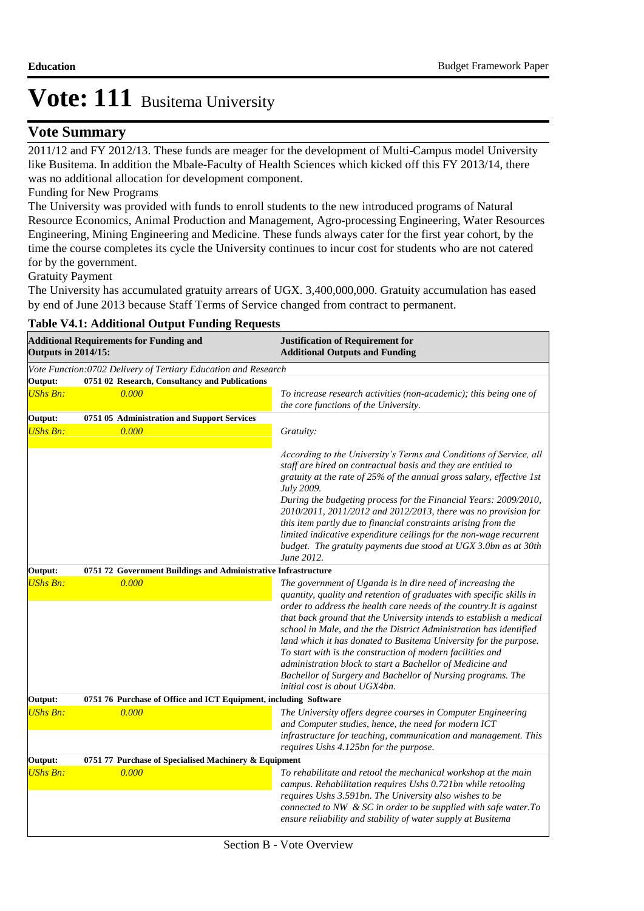## **Vote Summary**

2011/12 and FY 2012/13. These funds are meager for the development of Multi-Campus model University like Busitema. In addition the Mbale-Faculty of Health Sciences which kicked off this FY 2013/14, there was no additional allocation for development component.

## Funding for New Programs

The University was provided with funds to enroll students to the new introduced programs of Natural Resource Economics, Animal Production and Management, Agro-processing Engineering, Water Resources Engineering, Mining Engineering and Medicine. These funds always cater for the first year cohort, by the time the course completes its cycle the University continues to incur cost for students who are not catered for by the government.

Gratuity Payment

The University has accumulated gratuity arrears of UGX. 3,400,000,000. Gratuity accumulation has eased by end of June 2013 because Staff Terms of Service changed from contract to permanent.

| <b>Additional Requirements for Funding and</b><br><b>Outputs in 2014/15:</b> |                                                                  | <b>Justification of Requirement for</b><br><b>Additional Outputs and Funding</b>                                                                                                                                                                                                                                                                                                                                                                                                                                                                                                                                                                        |  |  |  |
|------------------------------------------------------------------------------|------------------------------------------------------------------|---------------------------------------------------------------------------------------------------------------------------------------------------------------------------------------------------------------------------------------------------------------------------------------------------------------------------------------------------------------------------------------------------------------------------------------------------------------------------------------------------------------------------------------------------------------------------------------------------------------------------------------------------------|--|--|--|
|                                                                              | Vote Function:0702 Delivery of Tertiary Education and Research   |                                                                                                                                                                                                                                                                                                                                                                                                                                                                                                                                                                                                                                                         |  |  |  |
| Output:                                                                      | 0751 02 Research, Consultancy and Publications                   |                                                                                                                                                                                                                                                                                                                                                                                                                                                                                                                                                                                                                                                         |  |  |  |
| <b>UShs Bn:</b>                                                              | 0.000                                                            | To increase research activities (non-academic); this being one of<br>the core functions of the University.                                                                                                                                                                                                                                                                                                                                                                                                                                                                                                                                              |  |  |  |
| Output:                                                                      | 0751 05 Administration and Support Services                      |                                                                                                                                                                                                                                                                                                                                                                                                                                                                                                                                                                                                                                                         |  |  |  |
| <b>UShs Bn:</b>                                                              | 0.000                                                            | Gratuity:                                                                                                                                                                                                                                                                                                                                                                                                                                                                                                                                                                                                                                               |  |  |  |
|                                                                              |                                                                  | According to the University's Terms and Conditions of Service, all<br>staff are hired on contractual basis and they are entitled to<br>gratuity at the rate of 25% of the annual gross salary, effective 1st<br>July 2009.<br>During the budgeting process for the Financial Years: 2009/2010,<br>2010/2011, 2011/2012 and 2012/2013, there was no provision for<br>this item partly due to financial constraints arising from the<br>limited indicative expenditure ceilings for the non-wage recurrent<br>budget. The gratuity payments due stood at UGX 3.0bn as at 30th<br>June 2012.                                                               |  |  |  |
| Output:                                                                      | 0751 72 Government Buildings and Administrative Infrastructure   |                                                                                                                                                                                                                                                                                                                                                                                                                                                                                                                                                                                                                                                         |  |  |  |
| <b>UShs Bn:</b>                                                              | 0.000                                                            | The government of Uganda is in dire need of increasing the<br>quantity, quality and retention of graduates with specific skills in<br>order to address the health care needs of the country. It is against<br>that back ground that the University intends to establish a medical<br>school in Male, and the the District Administration has identified<br>land which it has donated to Busitema University for the purpose.<br>To start with is the construction of modern facilities and<br>administration block to start a Bachellor of Medicine and<br>Bachellor of Surgery and Bachellor of Nursing programs. The<br>initial cost is about UGX4bn. |  |  |  |
| Output:                                                                      | 0751 76 Purchase of Office and ICT Equipment, including Software |                                                                                                                                                                                                                                                                                                                                                                                                                                                                                                                                                                                                                                                         |  |  |  |
| <b>UShs Bn:</b>                                                              | 0.000                                                            | The University offers degree courses in Computer Engineering<br>and Computer studies, hence, the need for modern ICT<br>infrastructure for teaching, communication and management. This<br>requires Ushs 4.125bn for the purpose.                                                                                                                                                                                                                                                                                                                                                                                                                       |  |  |  |
| Output:<br>0751 77 Purchase of Specialised Machinery & Equipment             |                                                                  |                                                                                                                                                                                                                                                                                                                                                                                                                                                                                                                                                                                                                                                         |  |  |  |
| <b>UShs Bn:</b>                                                              | 0.000                                                            | To rehabilitate and retool the mechanical workshop at the main<br>campus. Rehabilitation requires Ushs 0.721bn while retooling<br>requires Ushs 3.591bn. The University also wishes to be<br>connected to NW & SC in order to be supplied with safe water. To<br>ensure reliability and stability of water supply at Busitema                                                                                                                                                                                                                                                                                                                           |  |  |  |

### **Table V4.1: Additional Output Funding Requests**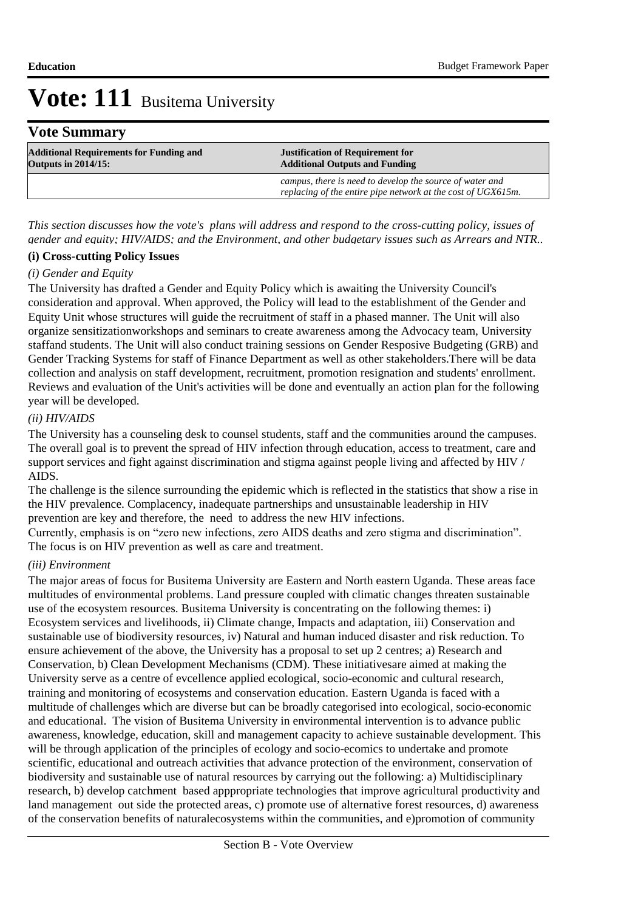## **Vote Summary**

| <b>Additional Requirements for Funding and</b> | <b>Justification of Requirement for</b>                                                                                  |
|------------------------------------------------|--------------------------------------------------------------------------------------------------------------------------|
| <b>Outputs in 2014/15:</b>                     | <b>Additional Outputs and Funding</b>                                                                                    |
|                                                | campus, there is need to develop the source of water and<br>replacing of the entire pipe network at the cost of UGX615m. |

*This section discusses how the vote's plans will address and respond to the cross-cutting policy, issues of gender and equity; HIV/AIDS; and the Environment, and other budgetary issues such as Arrears and NTR..* 

### **(i) Cross-cutting Policy Issues**

### *(i) Gender and Equity*

The University has drafted a Gender and Equity Policy which is awaiting the University Council's consideration and approval. When approved, the Policy will lead to the establishment of the Gender and Equity Unit whose structures will guide the recruitment of staff in a phased manner. The Unit will also organize sensitizationworkshops and seminars to create awareness among the Advocacy team, University staffand students. The Unit will also conduct training sessions on Gender Resposive Budgeting (GRB) and Gender Tracking Systems for staff of Finance Department as well as other stakeholders.There will be data collection and analysis on staff development, recruitment, promotion resignation and students' enrollment. Reviews and evaluation of the Unit's activities will be done and eventually an action plan for the following year will be developed.

## *(ii) HIV/AIDS*

The University has a counseling desk to counsel students, staff and the communities around the campuses. The overall goal is to prevent the spread of HIV infection through education, access to treatment, care and support services and fight against discrimination and stigma against people living and affected by HIV / AIDS.

The challenge is the silence surrounding the epidemic which is reflected in the statistics that show a rise in the HIV prevalence. Complacency, inadequate partnerships and unsustainable leadership in HIV prevention are key and therefore, the need to address the new HIV infections.

Currently, emphasis is on "zero new infections, zero AIDS deaths and zero stigma and discrimination". The focus is on HIV prevention as well as care and treatment.

### *(iii) Environment*

The major areas of focus for Busitema University are Eastern and North eastern Uganda. These areas face multitudes of environmental problems. Land pressure coupled with climatic changes threaten sustainable use of the ecosystem resources. Busitema University is concentrating on the following themes: i) Ecosystem services and livelihoods, ii) Climate change, Impacts and adaptation, iii) Conservation and sustainable use of biodiversity resources, iv) Natural and human induced disaster and risk reduction. To ensure achievement of the above, the University has a proposal to set up 2 centres; a) Research and Conservation, b) Clean Development Mechanisms (CDM). These initiativesare aimed at making the University serve as a centre of evcellence applied ecological, socio-economic and cultural research, training and monitoring of ecosystems and conservation education. Eastern Uganda is faced with a multitude of challenges which are diverse but can be broadly categorised into ecological, socio-economic and educational. The vision of Busitema University in environmental intervention is to advance public awareness, knowledge, education, skill and management capacity to achieve sustainable development. This will be through application of the principles of ecology and socio-ecomics to undertake and promote scientific, educational and outreach activities that advance protection of the environment, conservation of biodiversity and sustainable use of natural resources by carrying out the following: a) Multidisciplinary research, b) develop catchment based apppropriate technologies that improve agricultural productivity and land management out side the protected areas, c) promote use of alternative forest resources, d) awareness of the conservation benefits of naturalecosystems within the communities, and e)promotion of community